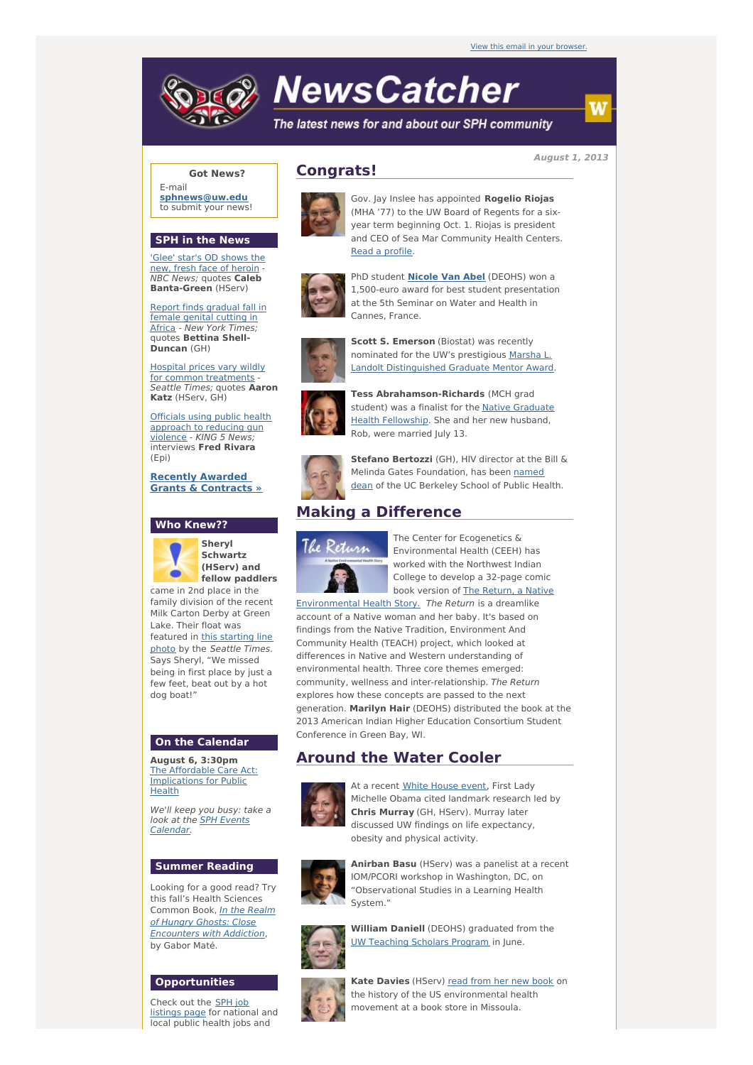

# **NewsCatcher**

The latest news for and about our SPH community

**August 1, 2013**

#### **Got News?**

E-mail **[sphnews@uw.edu](mailto:sphnews@uw.edu)** to submit your news!

#### **SPH in the News**

'Glee' star's OD shows the new, fresh face of [heroin](http://engage.washington.edu/site/R?i=vtNDfwx8xTIxl2q-yRKhbw) -NBC News; quotes **Caleb Banta-Green** (HServ)

Report finds [gradual](http://engage.washington.edu/site/R?i=XDBcO-3BqtsV9LXCX-IEQw) fall in female genital cutting in Africa - New York Times; quotes **Bettina Shell-Duncan** (GH)

Hospital prices vary wildly for common [treatments](http://engage.washington.edu/site/R?i=vRWwBQstXpZKBTrMJqT9yg) Seattle Times; quotes **Aaron Katz** (HServ, GH)

Officials using public health [approach](http://engage.washington.edu/site/R?i=fyYVjEorgyEL8BjpPbiL7w) to reducing gun violence - KING 5 News; interviews **Fred Rivara** (Epi)

**Recently Awarded Grants & [Contracts](http://engage.washington.edu/site/R?i=krCck2GrstLw5y6ouUDw8w) »**

#### **Who Knew??**



**Sheryl Schwartz (HServ) and fellow paddlers**

came in 2nd place in the family division of the recent Milk Carton Derby at Green Lake. Their float was [featured](http://engage.washington.edu/site/R?i=yD7JKCDW-HruAAS4WoWUxA) in this starting line photo by the Seattle Times. Says Sheryl, "We missed being in first place by just a few feet, beat out by a hot dog boat!"

#### **On the Calendar**

**August 6, 3:30pm** The Affordable Care Act: [Implications](http://engage.washington.edu/site/R?i=_IbUZJekOazZu19m0TZOrA) for Public Health

We'll keep you busy: take a look at the **SPH Events** [Calendar.](http://engage.washington.edu/site/R?i=0xxJbpz0xN2vJStHLkt5pA)

#### **Summer Reading**

Looking for a good read? Try this fall's Health Sciences Common Book, *In the Realm* of Hungry Ghosts: Close [Encounters](http://engage.washington.edu/site/R?i=glg8IDdbXzQyVpesZS2wRg) with Addiction, by Gabor Maté.

#### **Opportunities**

Check out the SPH job [listings](http://engage.washington.edu/site/R?i=crYGPH5n8_C3fcCL2E9ztQ) page for national and local public health jobs and

## **Congrats!**



Gov. Jay Inslee has appointed **Rogelio Riojas** (MHA '77) to the UW Board of Regents for a sixyear term beginning Oct. 1. Riojas is president and CEO of Sea Mar Community Health Centers. Read a [profile](http://engage.washington.edu/site/R?i=R6XCLW2lhUVSt-2_KQeFEg).



PhD student **[Nicole](http://engage.washington.edu/site/R?i=adPs3MAZYE7jyg3DGZyrhg) Van Abel** (DEOHS) won a 1,500-euro award for best student presentation at the 5th Seminar on Water and Health in Cannes, France.



**Scott S. Emerson** (Biostat) was recently nominated for the UW's prestigious Marsha L. Landolt [Distinguished](http://engage.washington.edu/site/R?i=HqFR3Wi229kTxNU1hWiOyQ) Graduate Mentor Award.



**Tess Abrahamson-Richards** (MCH grad student) was a finalist for the Native Graduate Health [Fellowship.](http://engage.washington.edu/site/R?i=iyuASUVlBaBe5n8Lwnj2CA) She and her new husband, Rob, were married July 13.



**Stefano Bertozzi** (GH), HIV director at the Bill & Melinda Gates [Foundation,](http://engage.washington.edu/site/R?i=DoOZvACx9AQjnM6gmbd8mg) has been named dean of the UC Berkeley School of Public Health.

# **Making a Difference**



The Center for Ecogenetics & Environmental Health (CEEH) has worked with the Northwest Indian College to develop a 32-page comic book version of The Return, a Native

[Environmental](http://engage.washington.edu/site/R?i=TDcY44y1LwMk4KvsolVBRg) Health Story. The Return is a dreamlike account of a Native woman and her baby. It's based on findings from the Native Tradition, Environment And Community Health (TEACH) project, which looked at differences in Native and Western understanding of environmental health. Three core themes emerged: community, wellness and inter-relationship. The Return explores how these concepts are passed to the next generation. **Marilyn Hair** (DEOHS) distributed the book at the 2013 American Indian Higher Education Consortium Student Conference in Green Bay, WI.

## **Around the Water Cooler**



At a recent White [House](http://engage.washington.edu/site/R?i=PjugIcZ-Q6kO383hedhMCA) event, First Lady Michelle Obama cited landmark research led by **Chris Murray** (GH, HServ). Murray later discussed UW findings on life expectancy, obesity and physical activity.



**Anirban Basu** (HServ) was a panelist at a recent IOM/PCORI workshop in Washington, DC, on "Observational Studies in a Learning Health System."



**William Daniell** (DEOHS) graduated from the UW [Teaching](http://engage.washington.edu/site/R?i=TtHkU-2W5tts-Ptzd4Yc8Q) Scholars Program in June.



**Kate Davies** (HServ) read from her new [book](http://engage.washington.edu/site/R?i=pZsvybTOWA4K-0KktJ6g0g) on the history of the US environmental health movement at a book store in Missoula.